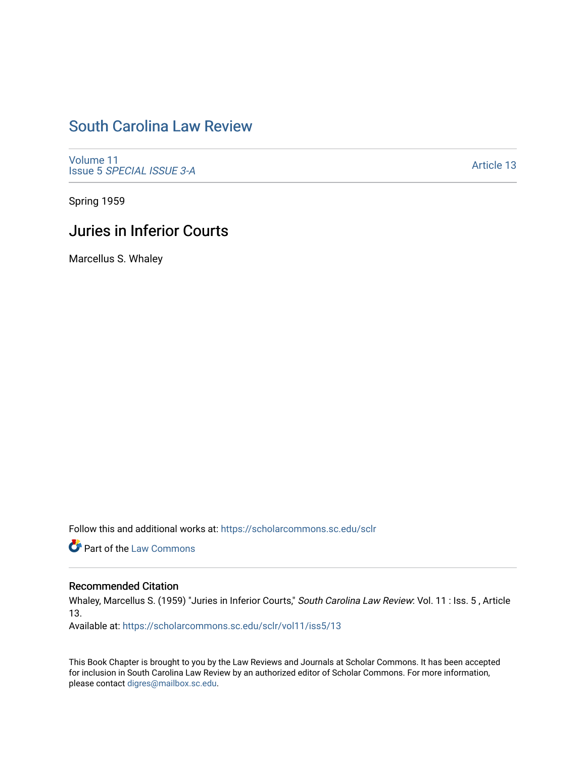# [South Carolina Law Review](https://scholarcommons.sc.edu/sclr)

[Volume 11](https://scholarcommons.sc.edu/sclr/vol11) Issue 5 [SPECIAL ISSUE 3-A](https://scholarcommons.sc.edu/sclr/vol11/iss5)

[Article 13](https://scholarcommons.sc.edu/sclr/vol11/iss5/13) 

Spring 1959

## Juries in Inferior Courts

Marcellus S. Whaley

Follow this and additional works at: [https://scholarcommons.sc.edu/sclr](https://scholarcommons.sc.edu/sclr?utm_source=scholarcommons.sc.edu%2Fsclr%2Fvol11%2Fiss5%2F13&utm_medium=PDF&utm_campaign=PDFCoverPages)

**Part of the [Law Commons](http://network.bepress.com/hgg/discipline/578?utm_source=scholarcommons.sc.edu%2Fsclr%2Fvol11%2Fiss5%2F13&utm_medium=PDF&utm_campaign=PDFCoverPages)** 

### Recommended Citation

Whaley, Marcellus S. (1959) "Juries in Inferior Courts," South Carolina Law Review: Vol. 11 : Iss. 5 , Article 13.

Available at: [https://scholarcommons.sc.edu/sclr/vol11/iss5/13](https://scholarcommons.sc.edu/sclr/vol11/iss5/13?utm_source=scholarcommons.sc.edu%2Fsclr%2Fvol11%2Fiss5%2F13&utm_medium=PDF&utm_campaign=PDFCoverPages) 

This Book Chapter is brought to you by the Law Reviews and Journals at Scholar Commons. It has been accepted for inclusion in South Carolina Law Review by an authorized editor of Scholar Commons. For more information, please contact [digres@mailbox.sc.edu](mailto:digres@mailbox.sc.edu).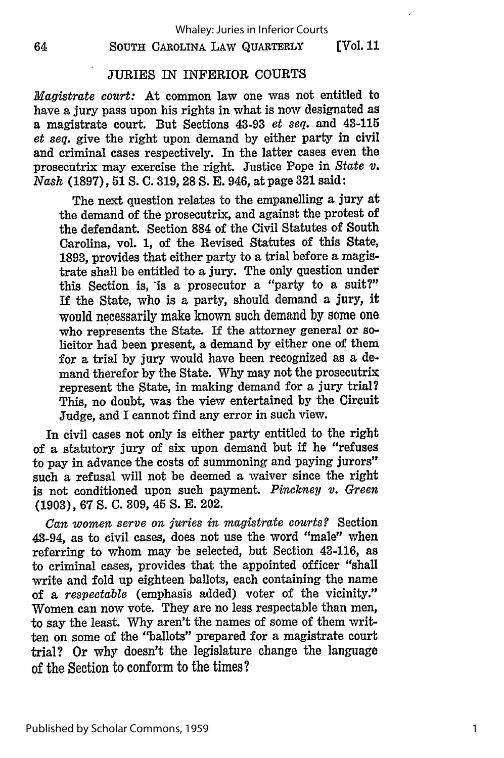#### **SOUTH** CAROLINA LAW **QUARTERLY [Vol.** II

### JURIES IN INFERIOR COURTS

*Magistrate court:* At common law one was not entitled to have a jury pass upon his rights in what is now designated as a magistrate court. But Sections 43-93 *et seq.* and 43-115 *et seq.* give the right upon demand **by** either party in civil and criminal cases respectively. In the latter cases even the prosecutrix may exercise the right. Justice Pope in *State v. Nash* **(1897), 51 S. C. 319, 28 S. E.** 946, at page **321** said:

The next question relates to the empanelling a jury at the demand of the prosecutrix, and against the protest of the defendant. Section **884** of the Civil Statutes of South Carolina, vol. **1,** of the Revised Statutes of this State, **1893,** provides that either party to a trial before a magistrate shall be entitled to a jury. The only question under this Section is, is a prosecutor a "party to a suit?" **If** the State, who is a party, should demand a jury, it would necessarily make **known** such demand **by** some one who represents the State. If the attorney general or solicitor had been present, a demand **by** either one of them for a trial **by** jury would have been recognized as a demand therefor **by** the State. **Why** may not the prosecutrix represent the State, in making demand for a jury trial? This, no doubt, was the view entertained **by** the Circuit Judge, and I cannot find any error in such view.

In civil cases not only is either party entitled to the right of a statutory jury of six upon demand but **if** he "refuses to pay in advance the costs of summoning and paying jurors" such a refusal will not be deemed a waiver since the right is not conditioned upon such payment. *Pinckney v. Green* (1903), 67 **S.** C. 309, 45 **S.** E. 202.

*Can women serve on juries in magistrate courts?* Section 43-94, as to civil cases, does not use the word "male" when referring to whom may be selected, but Section 43-116, as to criminal cases, provides that the appointed officer "shall write and fold up eighteen ballots, each containing the name of a *respectable* (emphasis added) voter of the vicinity." Women can now vote. They are no less respectable than men, to say the least. Why aren't the names of some of them written on some of the "ballots" prepared for a magistrate court trial? Or why doesn't the legislature change the language of the Section to conform to the times?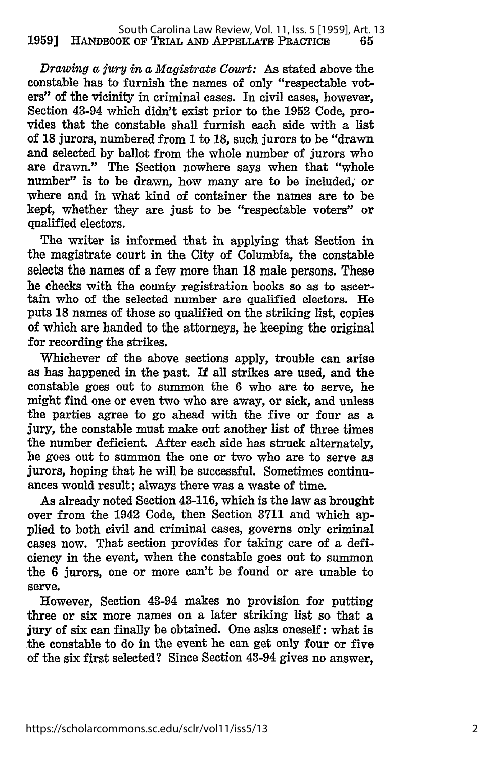*Drawing a jury in a Magistrate Court:* As stated above the constable has to furnish the names of only "respectable voters" of the vicinity in criminal cases. In civil cases, however, Section 43-94 which didn't exist prior to the 1952 Code, provides that the constable shall furnish each side with a list of 18 jurors, numbered from 1 to 18, such jurors to be "drawn and selected by ballot from the whole number of jurors who are drawn." The Section nowhere says when that "whole number" is to be drawn, how many are to be included; or where and in what kind of container the names are to be kept, whether they are just to be "respectable voters" or qualified electors.

The writer is informed that in applying that Section in the magistrate court in the City of Columbia, the constable selects the names of a few more than **18** male persons. These he checks with the county registration books so as to ascertain who of the selected number are qualified electors. He puts 18 names of those so qualified on the striking list, copies of which are handed to the attorneys, he keeping the original for recording the strikes.

Whichever of the above sections apply, trouble can arise as has happened in the past. If all strikes are used, and the constable goes out to summon the 6 who are to serve, he might find one or even two who are away, or sick, and unless the parties agree to go ahead with the five or four as a jury, the constable must make out another list of three times the number deficient. After each side has struck alternately, he goes out to summon the one or two who are to serve as jurors, hoping that he will be successful. Sometimes continuances would result; always there was a waste of time.

As already noted Section 43-116, which is the law as brought over from the 1942 Code, then Section **3711** and which applied to both civil and criminal cases, governs only criminal cases now. That section provides for taking care of a deficiency in the event, when the constable goes out to summon the 6 jurors, one or more can't be found or are unable to serve.

However, Section 43-94 makes no provision for putting three or six more names on a later striking list so that a jury of six can finally be obtained. One asks oneself: what is the constable to do in the event he can get only four or five of the six first selected? Since Section 43-94 gives no answer,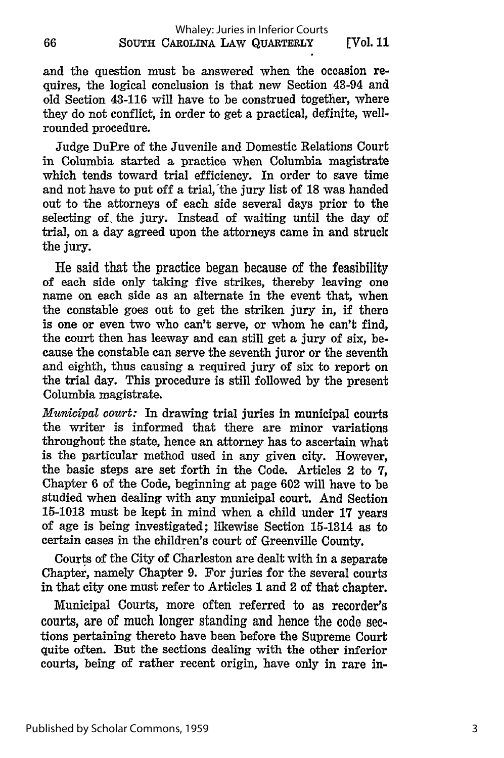and the question must be answered when the occasion requires, the logical conclusion is that new Section 43-94 and old Section 43-116 will have to be construed together, where they do not conflict, in order to get a practical, definite, wellrounded procedure.

Judge DuPxe of the Juvenile and Domestic Relations Court in Columbia started a practice when Columbia magistrate which tends toward trial efficiency. In order to save time and not have to put off a trial, the jury list of 18 was handed out to the attorneys of each side several days prior to the selecting of. the jury. Instead of waiting until the day of trial, on a day agreed upon the attorneys came in and struck the jury.

He said that the practice began because of the feasibility of each side only taking five strikes, thereby leaving one name on each side as an alternate in the event that, when the constable goes out to get the striken jury in, if there is one or even two who can't serve, or whom he can't find, the court then has leeway and can still get a jury of six, because the constable can serve the seventh juror or the seventh and eighth, thus causing a required jury of six to report on the trial day. This procedure is still followed **by** the present Columbia magistrate.

*Municipal court:* In drawing trial juries in municipal courts the writer is informed that there are minor variations throughout the state, hence an attorney has to ascertain what is the particular method used in any given city. However, the basic steps are set forth in the Code. Articles 2 to **7,** Chapter 6 of the Code, beginning at page 602 will have to be studied when dealing with any municipal court. And Section 15-1013 must be kept in mind when a child under 17 years of age is being investigated; likewise Section 15-1314 as to certain cases in the children's court of Greenville County.

Courts of the City of Charleston are dealt with in a separate Chapter, namely Chapter 9. For juries for the several courts in that city one must refer to Articles **1** and 2 of that chapter.

Municipal Courts, more often referred to as recorder's courts, are of much longer standing and hence the code sections pertaining thereto have been before the Supreme Court quite often. But the sections dealing with the other inferior courts, being of rather recent origin, have only in rare in